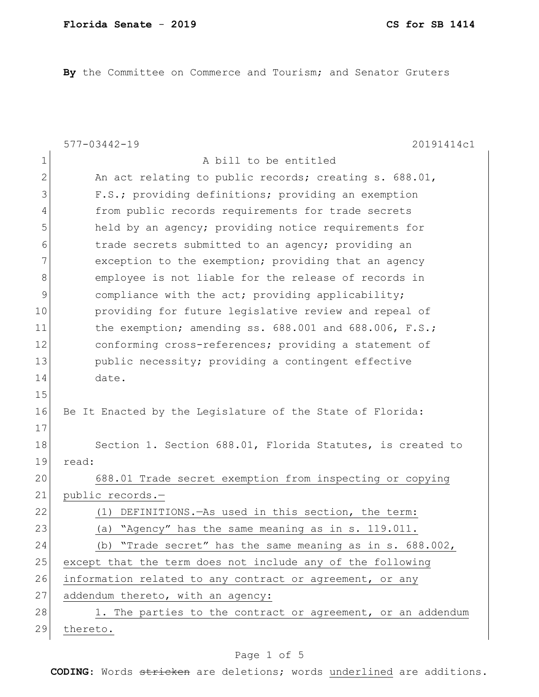By the Committee on Commerce and Tourism; and Senator Gruters

|              | $577 - 03442 - 19$<br>20191414c1                            |
|--------------|-------------------------------------------------------------|
| 1            | A bill to be entitled                                       |
| $\mathbf{2}$ | An act relating to public records; creating s. 688.01,      |
| 3            | F.S.; providing definitions; providing an exemption         |
| 4            | from public records requirements for trade secrets          |
| 5            | held by an agency; providing notice requirements for        |
| 6            | trade secrets submitted to an agency; providing an          |
| 7            | exception to the exemption; providing that an agency        |
| 8            | employee is not liable for the release of records in        |
| 9            | compliance with the act; providing applicability;           |
| 10           | providing for future legislative review and repeal of       |
| 11           | the exemption; amending ss. 688.001 and 688.006, F.S.;      |
| 12           | conforming cross-references; providing a statement of       |
| 13           | public necessity; providing a contingent effective          |
| 14           | date.                                                       |
| 15           |                                                             |
| 16           | Be It Enacted by the Legislature of the State of Florida:   |
| 17           |                                                             |
| 18           | Section 1. Section 688.01, Florida Statutes, is created to  |
| 19           | read:                                                       |
| 20           | 688.01 Trade secret exemption from inspecting or copying    |
| 21           | public records.-                                            |
| 22           | DEFINITIONS. - As used in this section, the term:<br>(1)    |
| 23           | (a) "Agency" has the same meaning as in s. 119.011.         |
| 24           | (b) "Trade secret" has the same meaning as in s. 688.002,   |
| 25           | except that the term does not include any of the following  |
| 26           | information related to any contract or agreement, or any    |
| 27           | addendum thereto, with an agency:                           |
| 28           | 1. The parties to the contract or agreement, or an addendum |
| 29           | thereto.                                                    |

# Page 1 of 5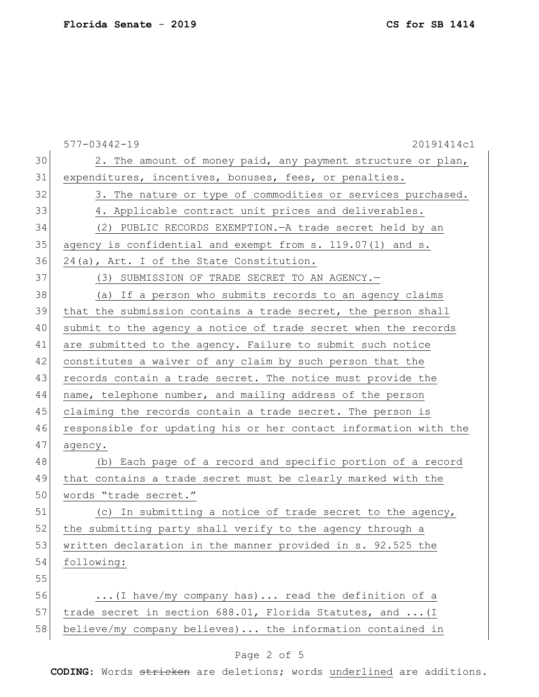577-03442-19 20191414c1 30 2. The amount of money paid, any payment structure or plan, 31 expenditures, incentives, bonuses, fees, or penalties. 32 3. The nature or type of commodities or services purchased. 33 4. Applicable contract unit prices and deliverables. 34 (2) PUBLIC RECORDS EXEMPTION.—A trade secret held by an 35 agency is confidential and exempt from  $s. 119.07(1)$  and  $s.$ 36 24(a), Art. I of the State Constitution. 37 (3) SUBMISSION OF TRADE SECRET TO AN AGENCY. 38 (a) If a person who submits records to an agency claims 39 that the submission contains a trade secret, the person shall 40 submit to the agency a notice of trade secret when the records 41 are submitted to the agency. Failure to submit such notice 42 constitutes a waiver of any claim by such person that the 43 records contain a trade secret. The notice must provide the 44 name, telephone number, and mailing address of the person 45 claiming the records contain a trade secret. The person is 46 responsible for updating his or her contact information with the 47 agency. 48 (b) Each page of a record and specific portion of a record 49 that contains a trade secret must be clearly marked with the 50 words "trade secret." 51 (c) In submitting a notice of trade secret to the agency, 52 the submitting party shall verify to the agency through a 53 written declaration in the manner provided in s. 92.525 the 54 following: 55 56 ...(I have/my company has)... read the definition of a 57 trade secret in section 688.01, Florida Statutes, and ... (I 58 believe/my company believes)... the information contained in

#### Page 2 of 5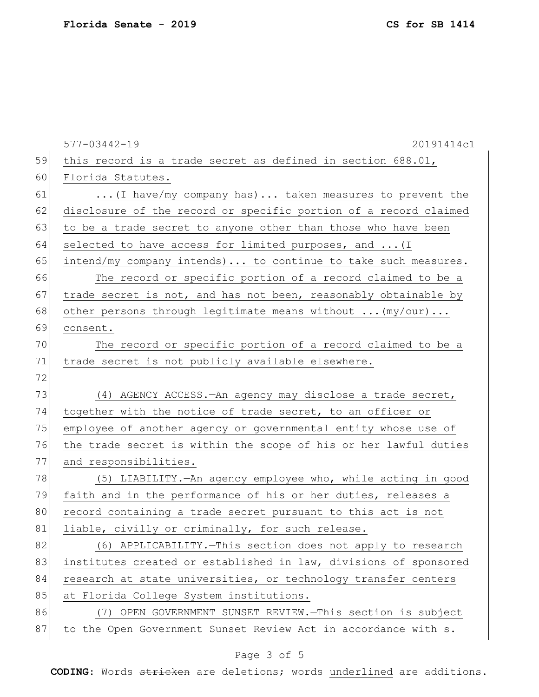|    | $577 - 03442 - 19$<br>20191414c1                                 |
|----|------------------------------------------------------------------|
| 59 | this record is a trade secret as defined in section 688.01,      |
| 60 | Florida Statutes.                                                |
| 61 | (I have/my company has) taken measures to prevent the            |
| 62 | disclosure of the record or specific portion of a record claimed |
| 63 | to be a trade secret to anyone other than those who have been    |
| 64 | selected to have access for limited purposes, and  (I            |
| 65 | intend/my company intends) to continue to take such measures.    |
| 66 | The record or specific portion of a record claimed to be a       |
| 67 | trade secret is not, and has not been, reasonably obtainable by  |
| 68 | other persons through legitimate means without  (my/our)         |
| 69 | consent.                                                         |
| 70 | The record or specific portion of a record claimed to be a       |
| 71 | trade secret is not publicly available elsewhere.                |
| 72 |                                                                  |
| 73 | (4) AGENCY ACCESS. - An agency may disclose a trade secret,      |
| 74 | together with the notice of trade secret, to an officer or       |
| 75 | employee of another agency or governmental entity whose use of   |
| 76 | the trade secret is within the scope of his or her lawful duties |
| 77 | and responsibilities.                                            |
| 78 | (5) LIABILITY. - An agency employee who, while acting in good    |
| 79 | faith and in the performance of his or her duties, releases a    |
| 80 | record containing a trade secret pursuant to this act is not     |
| 81 | liable, civilly or criminally, for such release.                 |
| 82 | (6) APPLICABILITY. - This section does not apply to research     |
| 83 | institutes created or established in law, divisions of sponsored |
| 84 | research at state universities, or technology transfer centers   |
| 85 | at Florida College System institutions.                          |
| 86 | (7) OPEN GOVERNMENT SUNSET REVIEW. - This section is subject     |
| 87 | to the Open Government Sunset Review Act in accordance with s.   |

# Page 3 of 5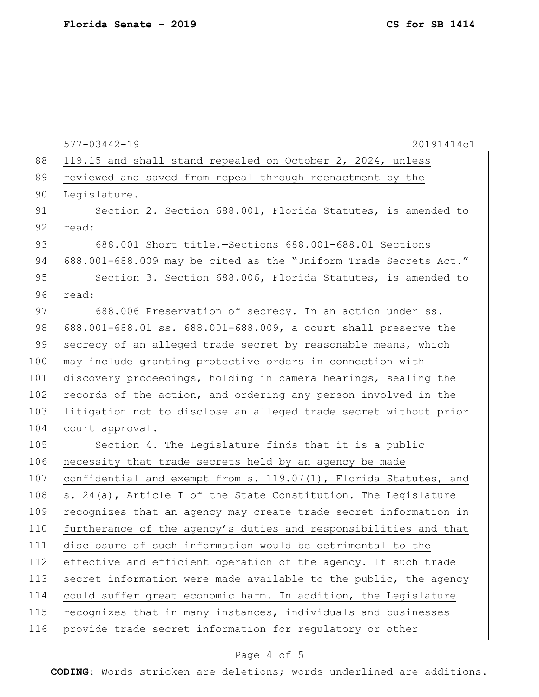577-03442-19 20191414c1 88 119.15 and shall stand repealed on October 2, 2024, unless 89 reviewed and saved from repeal through reenactment by the 90 Legislature. 91 Section 2. Section 688.001, Florida Statutes, is amended to 92 read: 93 688.001 Short title.-Sections 688.001-688.01 Sections 94 688.001-688.009 may be cited as the "Uniform Trade Secrets Act." 95 Section 3. Section 688.006, Florida Statutes, is amended to 96 read: 97 688.006 Preservation of secrecy. - In an action under ss. 98 688.001-688.01 <del>ss. 688.001-688.009</del>, a court shall preserve the 99 secrecy of an alleged trade secret by reasonable means, which 100 may include granting protective orders in connection with 101 discovery proceedings, holding in camera hearings, sealing the 102 records of the action, and ordering any person involved in the 103 litigation not to disclose an alleged trade secret without prior 104 court approval. 105 Section 4. The Legislature finds that it is a public 106 necessity that trade secrets held by an agency be made 107 confidential and exempt from s. 119.07(1), Florida Statutes, and 108 s. 24(a), Article I of the State Constitution. The Legislature 109 recognizes that an agency may create trade secret information in 110 furtherance of the agency's duties and responsibilities and that 111 disclosure of such information would be detrimental to the 112 effective and efficient operation of the agency. If such trade 113 secret information were made available to the public, the agency 114 could suffer great economic harm. In addition, the Legislature 115 recognizes that in many instances, individuals and businesses 116 provide trade secret information for regulatory or other

#### Page 4 of 5